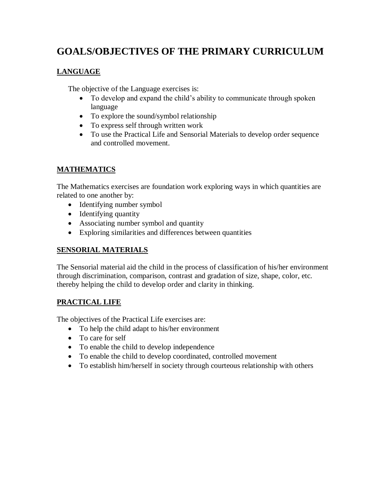# **GOALS/OBJECTIVES OF THE PRIMARY CURRICULUM**

## **LANGUAGE**

The objective of the Language exercises is:

- To develop and expand the child's ability to communicate through spoken language
- To explore the sound/symbol relationship
- To express self through written work
- To use the Practical Life and Sensorial Materials to develop order sequence and controlled movement.

## **MATHEMATICS**

The Mathematics exercises are foundation work exploring ways in which quantities are related to one another by:

- Identifying number symbol
- Identifying quantity
- Associating number symbol and quantity
- Exploring similarities and differences between quantities

## **SENSORIAL MATERIALS**

The Sensorial material aid the child in the process of classification of his/her environment through discrimination, comparison, contrast and gradation of size, shape, color, etc. thereby helping the child to develop order and clarity in thinking.

## **PRACTICAL LIFE**

The objectives of the Practical Life exercises are:

- To help the child adapt to his/her environment
- To care for self
- To enable the child to develop independence
- To enable the child to develop coordinated, controlled movement
- To establish him/herself in society through courteous relationship with others